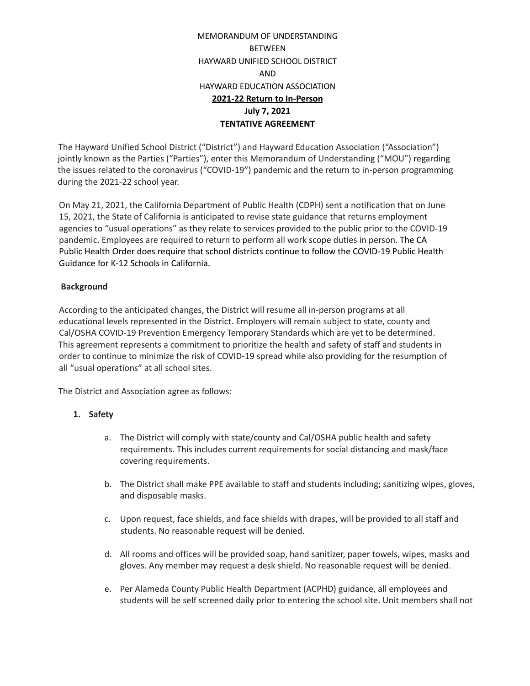# MEMORANDUM OF UNDERSTANDING BETWEEN HAYWARD UNIFIED SCHOOL DISTRICT AND HAYWARD EDUCATION ASSOCIATION **2021-22 Return to In-Person July 7, 2021 TENTATIVE AGREEMENT**

The Hayward Unified School District ("District") and Hayward Education Association ("Association") jointly known as the Parties ("Parties"), enter this Memorandum of Understanding ("MOU") regarding the issues related to the coronavirus ("COVID-19") pandemic and the return to in-person programming during the 2021-22 school year.

On May 21, 2021, the California Department of Public Health (CDPH) sent a notification that on June 15, 2021, the State of California is anticipated to revise state guidance that returns employment agencies to "usual operations" as they relate to services provided to the public prior to the COVID-19 pandemic. Employees are required to return to perform all work scope duties in person. The CA Public Health Order does require that school districts continue to follow the COVID-19 Public Health Guidance for K-12 Schools in California.

## **Background**

According to the anticipated changes, the District will resume all in-person programs at all educational levels represented in the District. Employers will remain subject to state, county and Cal/OSHA COVID-19 Prevention Emergency Temporary Standards which are yet to be determined. This agreement represents a commitment to prioritize the health and safety of staff and students in order to continue to minimize the risk of COVID-19 spread while also providing for the resumption of all "usual operations" at all school sites.

The District and Association agree as follows:

## **1. Safety**

- a. The District will comply with state/county and Cal/OSHA public health and safety requirements. This includes current requirements for social distancing and mask/face covering requirements.
- b. The District shall make PPE available to staff and students including; sanitizing wipes, gloves, and disposable masks.
- c. Upon request, face shields, and face shields with drapes, will be provided to all staff and students. No reasonable request will be denied.
- d. All rooms and offices will be provided soap, hand sanitizer, paper towels, wipes, masks and gloves. Any member may request a desk shield. No reasonable request will be denied.
- e. Per Alameda County Public Health Department (ACPHD) guidance, all employees and students will be self screened daily prior to entering the school site. Unit members shall not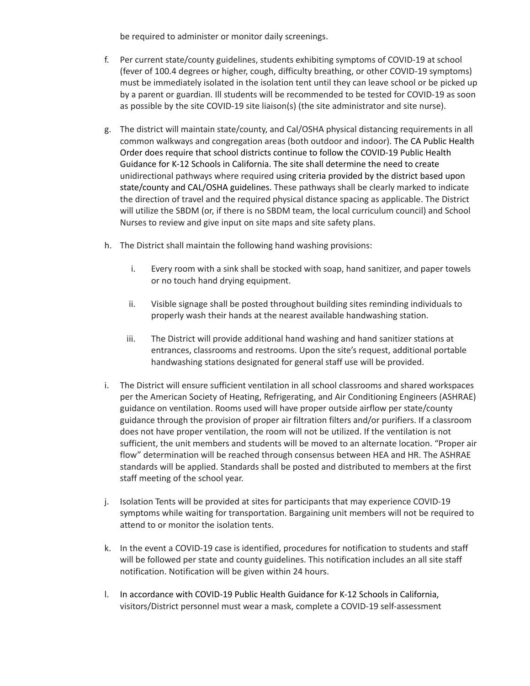be required to administer or monitor daily screenings.

- f. Per current state/county guidelines, students exhibiting symptoms of COVID-19 at school (fever of 100.4 degrees or higher, cough, difficulty breathing, or other COVID-19 symptoms) must be immediately isolated in the isolation tent until they can leave school or be picked up by a parent or guardian. Ill students will be recommended to be tested for COVID-19 as soon as possible by the site COVID-19 site liaison(s) (the site administrator and site nurse).
- g. The district will maintain state/county, and Cal/OSHA physical distancing requirements in all common walkways and congregation areas (both outdoor and indoor). The CA Public Health Order does require that school districts continue to follow the COVID-19 Public Health Guidance for K-12 Schools in California. The site shall determine the need to create unidirectional pathways where required using criteria provided by the district based upon state/county and CAL/OSHA guidelines. These pathways shall be clearly marked to indicate the direction of travel and the required physical distance spacing as applicable. The District will utilize the SBDM (or, if there is no SBDM team, the local curriculum council) and School Nurses to review and give input on site maps and site safety plans.
- h. The District shall maintain the following hand washing provisions:
	- i. Every room with a sink shall be stocked with soap, hand sanitizer, and paper towels or no touch hand drying equipment.
	- ii. Visible signage shall be posted throughout building sites reminding individuals to properly wash their hands at the nearest available handwashing station.
	- iii. The District will provide additional hand washing and hand sanitizer stations at entrances, classrooms and restrooms. Upon the site's request, additional portable handwashing stations designated for general staff use will be provided.
- i. The District will ensure sufficient ventilation in all school classrooms and shared workspaces per the American Society of Heating, Refrigerating, and Air Conditioning Engineers (ASHRAE) guidance on ventilation. Rooms used will have proper outside airflow per state/county guidance through the provision of proper air filtration filters and/or purifiers. If a classroom does not have proper ventilation, the room will not be utilized. If the ventilation is not sufficient, the unit members and students will be moved to an alternate location. "Proper air flow" determination will be reached through consensus between HEA and HR. The ASHRAE standards will be applied. Standards shall be posted and distributed to members at the first staff meeting of the school year.
- j. Isolation Tents will be provided at sites for participants that may experience COVID-19 symptoms while waiting for transportation. Bargaining unit members will not be required to attend to or monitor the isolation tents.
- k. In the event a COVID-19 case is identified, procedures for notification to students and staff will be followed per state and county guidelines. This notification includes an all site staff notification. Notification will be given within 24 hours.
- l. In accordance with COVID-19 Public Health Guidance for K-12 Schools in California, visitors/District personnel must wear a mask, complete a COVID-19 self-assessment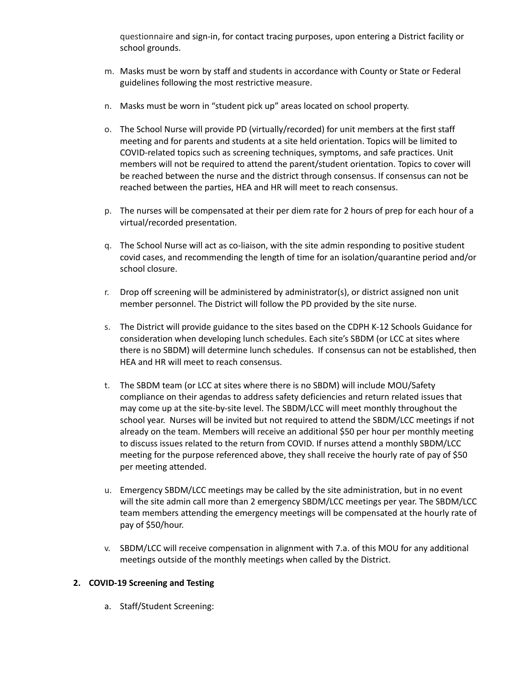questionnaire and sign-in, for contact tracing purposes, upon entering a District facility or school grounds.

- m. Masks must be worn by staff and students in accordance with County or State or Federal guidelines following the most restrictive measure.
- n. Masks must be worn in "student pick up" areas located on school property.
- o. The School Nurse will provide PD (virtually/recorded) for unit members at the first staff meeting and for parents and students at a site held orientation. Topics will be limited to COVID-related topics such as screening techniques, symptoms, and safe practices. Unit members will not be required to attend the parent/student orientation. Topics to cover will be reached between the nurse and the district through consensus. If consensus can not be reached between the parties, HEA and HR will meet to reach consensus.
- p. The nurses will be compensated at their per diem rate for 2 hours of prep for each hour of a virtual/recorded presentation.
- q. The School Nurse will act as co-liaison, with the site admin responding to positive student covid cases, and recommending the length of time for an isolation/quarantine period and/or school closure.
- r. Drop off screening will be administered by administrator(s), or district assigned non unit member personnel. The District will follow the PD provided by the site nurse.
- s. The District will provide guidance to the sites based on the CDPH K-12 Schools Guidance for consideration when developing lunch schedules. Each site's SBDM (or LCC at sites where there is no SBDM) will determine lunch schedules. If consensus can not be established, then HEA and HR will meet to reach consensus.
- t. The SBDM team (or LCC at sites where there is no SBDM) will include MOU/Safety compliance on their agendas to address safety deficiencies and return related issues that may come up at the site-by-site level. The SBDM/LCC will meet monthly throughout the school year. Nurses will be invited but not required to attend the SBDM/LCC meetings if not already on the team. Members will receive an additional \$50 per hour per monthly meeting to discuss issues related to the return from COVID. If nurses attend a monthly SBDM/LCC meeting for the purpose referenced above, they shall receive the hourly rate of pay of \$50 per meeting attended.
- u. Emergency SBDM/LCC meetings may be called by the site administration, but in no event will the site admin call more than 2 emergency SBDM/LCC meetings per year. The SBDM/LCC team members attending the emergency meetings will be compensated at the hourly rate of pay of \$50/hour.
- v. SBDM/LCC will receive compensation in alignment with 7.a. of this MOU for any additional meetings outside of the monthly meetings when called by the District.

## **2. COVID-19 Screening and Testing**

a. Staff/Student Screening: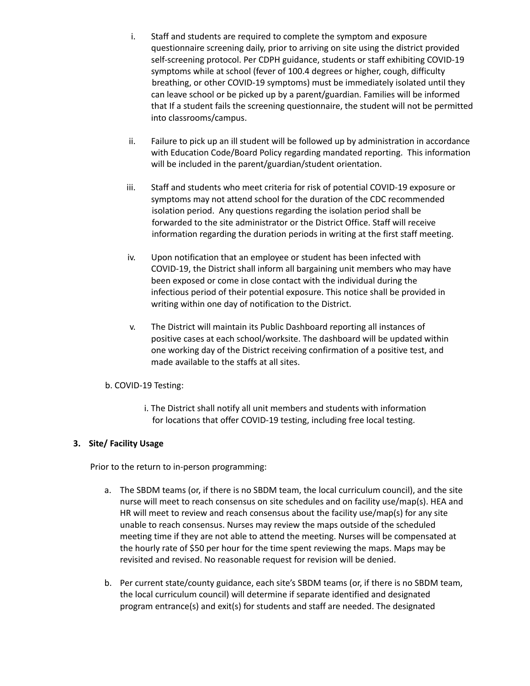- i. Staff and students are required to complete the symptom and exposure questionnaire screening daily, prior to arriving on site using the district provided self-screening protocol. Per CDPH guidance, students or staff exhibiting COVID-19 symptoms while at school (fever of 100.4 degrees or higher, cough, difficulty breathing, or other COVID-19 symptoms) must be immediately isolated until they can leave school or be picked up by a parent/guardian. Families will be informed that If a student fails the screening questionnaire, the student will not be permitted into classrooms/campus.
- ii. Failure to pick up an ill student will be followed up by administration in accordance with Education Code/Board Policy regarding mandated reporting. This information will be included in the parent/guardian/student orientation.
- iii. Staff and students who meet criteria for risk of potential COVID-19 exposure or symptoms may not attend school for the duration of the CDC recommended isolation period. Any questions regarding the isolation period shall be forwarded to the site administrator or the District Office. Staff will receive information regarding the duration periods in writing at the first staff meeting.
- iv. Upon notification that an employee or student has been infected with COVID-19, the District shall inform all bargaining unit members who may have been exposed or come in close contact with the individual during the infectious period of their potential exposure. This notice shall be provided in writing within one day of notification to the District.
- v. The District will maintain its Public Dashboard reporting all instances of positive cases at each school/worksite. The dashboard will be updated within one working day of the District receiving confirmation of a positive test, and made available to the staffs at all sites.

## b. COVID-19 Testing:

i. The District shall notify all unit members and students with information for locations that offer COVID-19 testing, including free local testing.

## **3. Site/ Facility Usage**

Prior to the return to in-person programming:

- a. The SBDM teams (or, if there is no SBDM team, the local curriculum council), and the site nurse will meet to reach consensus on site schedules and on facility use/map(s). HEA and HR will meet to review and reach consensus about the facility use/map(s) for any site unable to reach consensus. Nurses may review the maps outside of the scheduled meeting time if they are not able to attend the meeting. Nurses will be compensated at the hourly rate of \$50 per hour for the time spent reviewing the maps. Maps may be revisited and revised. No reasonable request for revision will be denied.
- b. Per current state/county guidance, each site's SBDM teams (or, if there is no SBDM team, the local curriculum council) will determine if separate identified and designated program entrance(s) and exit(s) for students and staff are needed. The designated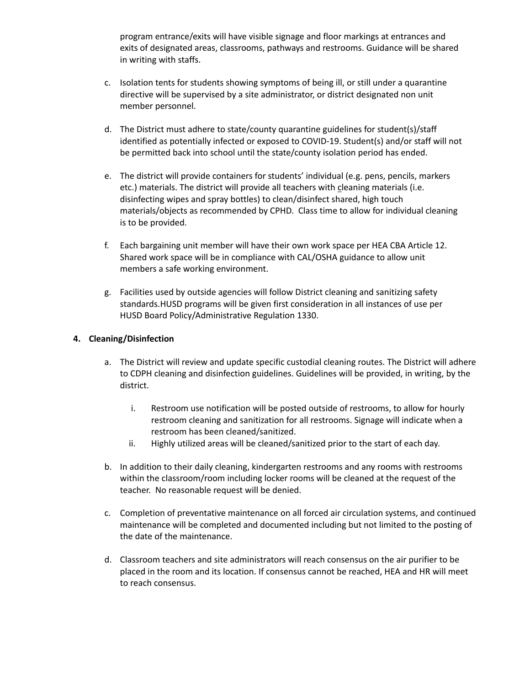program entrance/exits will have visible signage and floor markings at entrances and exits of designated areas, classrooms, pathways and restrooms. Guidance will be shared in writing with staffs.

- c. Isolation tents for students showing symptoms of being ill, or still under a quarantine directive will be supervised by a site administrator, or district designated non unit member personnel.
- d. The District must adhere to state/county quarantine guidelines for student(s)/staff identified as potentially infected or exposed to COVID-19. Student(s) and/or staff will not be permitted back into school until the state/county isolation period has ended.
- e. The district will provide containers for students' individual (e.g. pens, pencils, markers etc.) materials. The district will provide all teachers with cleaning materials (i.e. disinfecting wipes and spray bottles) to clean/disinfect shared, high touch materials/objects as recommended by CPHD. Class time to allow for individual cleaning is to be provided.
- f. Each bargaining unit member will have their own work space per HEA CBA Article 12. Shared work space will be in compliance with CAL/OSHA guidance to allow unit members a safe working environment.
- g. Facilities used by outside agencies will follow District cleaning and sanitizing safety standards.HUSD programs will be given first consideration in all instances of use per HUSD Board Policy/Administrative Regulation 1330.

## **4. Cleaning/Disinfection**

- a. The District will review and update specific custodial cleaning routes. The District will adhere to CDPH cleaning and disinfection guidelines. Guidelines will be provided, in writing, by the district.
	- i. Restroom use notification will be posted outside of restrooms, to allow for hourly restroom cleaning and sanitization for all restrooms. Signage will indicate when a restroom has been cleaned/sanitized.
	- ii. Highly utilized areas will be cleaned/sanitized prior to the start of each day.
- b. In addition to their daily cleaning, kindergarten restrooms and any rooms with restrooms within the classroom/room including locker rooms will be cleaned at the request of the teacher. No reasonable request will be denied.
- c. Completion of preventative maintenance on all forced air circulation systems, and continued maintenance will be completed and documented including but not limited to the posting of the date of the maintenance.
- d. Classroom teachers and site administrators will reach consensus on the air purifier to be placed in the room and its location. If consensus cannot be reached, HEA and HR will meet to reach consensus.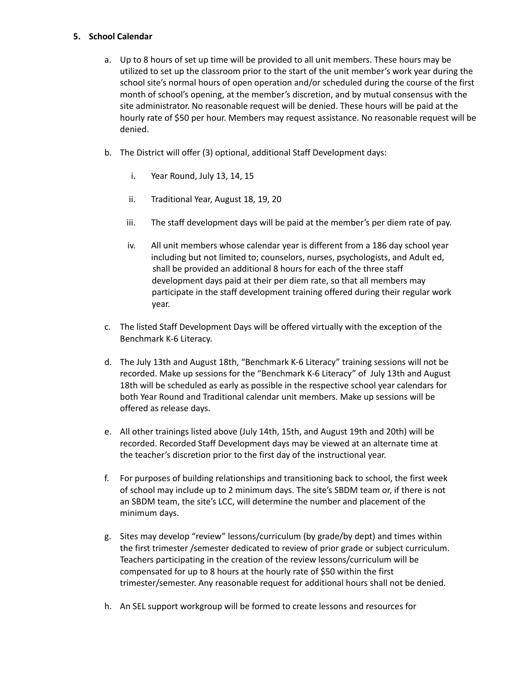#### **5. School Calendar**

- a. Up to 8 hours of set up time will be provided to all unit members. These hours may be utilized to set up the classroom prior to the start of the unit member's work year during the school site's normal hours of open operation and/or scheduled during the course of the first month of school's opening, at the member's discretion, and by mutual consensus with the site administrator. No reasonable request will be denied. These hours will be paid at the hourly rate of \$50 per hour. Members may request assistance. No reasonable request will be denied.
- b. The District will offer (3) optional, additional Staff Development days:
	- i. Year Round, July 13, 14, 15
	- ii. Traditional Year, August 18, 19, 20
	- iii. The staff development days will be paid at the member's per diem rate of pay.
	- iv. All unit members whose calendar year is different from a 186 day school year including but not limited to; counselors, nurses, psychologists, and Adult ed, shall be provided an additional 8 hours for each of the three staff development days paid at their per diem rate, so that all members may participate in the staff development training offered during their regular work year.
- c. The listed Staff Development Days will be offered virtually with the exception of the Benchmark K-6 Literacy.
- d. The July 13th and August 18th, "Benchmark K-6 Literacy" training sessions will not be recorded. Make up sessions for the "Benchmark K-6 Literacy" of July 13th and August 18th will be scheduled as early as possible in the respective school year calendars for both Year Round and Traditional calendar unit members. Make up sessions will be offered as release days.
- e. All other trainings listed above (July 14th, 15th, and August 19th and 20th) will be recorded. Recorded Staff Development days may be viewed at an alternate time at the teacher's discretion prior to the first day of the instructional year.
- f. For purposes of building relationships and transitioning back to school, the first week of school may include up to 2 minimum days. The site's SBDM team or, if there is not an SBDM team, the site's LCC, will determine the number and placement of the minimum days.
- g. Sites may develop "review" lessons/curriculum (by grade/by dept) and times within the first trimester /semester dedicated to review of prior grade or subject curriculum. Teachers participating in the creation of the review lessons/curriculum will be compensated for up to 8 hours at the hourly rate of \$50 within the first trimester/semester. Any reasonable request for additional hours shall not be denied.
- h. An SEL support workgroup will be formed to create lessons and resources for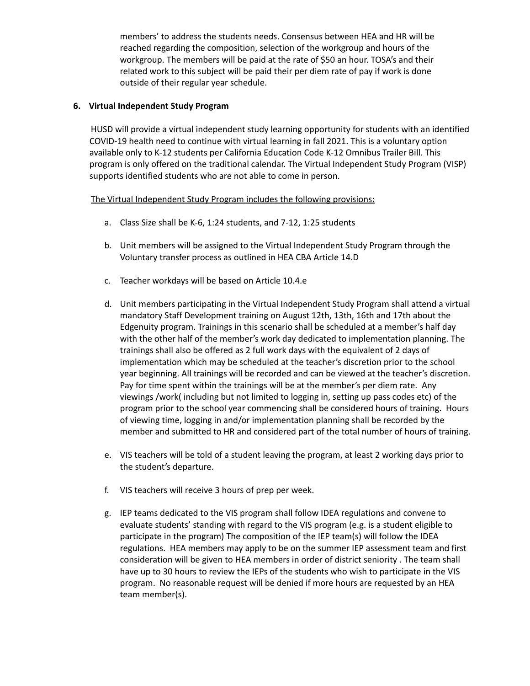members' to address the students needs. Consensus between HEA and HR will be reached regarding the composition, selection of the workgroup and hours of the workgroup. The members will be paid at the rate of \$50 an hour. TOSA's and their related work to this subject will be paid their per diem rate of pay if work is done outside of their regular year schedule.

## **6. Virtual Independent Study Program**

HUSD will provide a virtual independent study learning opportunity for students with an identified COVID-19 health need to continue with virtual learning in fall 2021. This is a voluntary option available only to K-12 students per California Education Code K-12 Omnibus Trailer Bill. This program is only offered on the traditional calendar. The Virtual Independent Study Program (VISP) supports identified students who are not able to come in person.

## The Virtual Independent Study Program includes the following provisions:

- a. Class Size shall be K-6, 1:24 students, and 7-12, 1:25 students
- b. Unit members will be assigned to the Virtual Independent Study Program through the Voluntary transfer process as outlined in HEA CBA Article 14.D
- c. Teacher workdays will be based on Article 10.4.e
- d. Unit members participating in the Virtual Independent Study Program shall attend a virtual mandatory Staff Development training on August 12th, 13th, 16th and 17th about the Edgenuity program. Trainings in this scenario shall be scheduled at a member's half day with the other half of the member's work day dedicated to implementation planning. The trainings shall also be offered as 2 full work days with the equivalent of 2 days of implementation which may be scheduled at the teacher's discretion prior to the school year beginning. All trainings will be recorded and can be viewed at the teacher's discretion. Pay for time spent within the trainings will be at the member's per diem rate. Any viewings /work( including but not limited to logging in, setting up pass codes etc) of the program prior to the school year commencing shall be considered hours of training. Hours of viewing time, logging in and/or implementation planning shall be recorded by the member and submitted to HR and considered part of the total number of hours of training.
- e. VIS teachers will be told of a student leaving the program, at least 2 working days prior to the student's departure.
- f. VIS teachers will receive 3 hours of prep per week.
- g. IEP teams dedicated to the VIS program shall follow IDEA regulations and convene to evaluate students' standing with regard to the VIS program (e.g. is a student eligible to participate in the program) The composition of the IEP team(s) will follow the IDEA regulations. HEA members may apply to be on the summer IEP assessment team and first consideration will be given to HEA members in order of district seniority . The team shall have up to 30 hours to review the IEPs of the students who wish to participate in the VIS program. No reasonable request will be denied if more hours are requested by an HEA team member(s).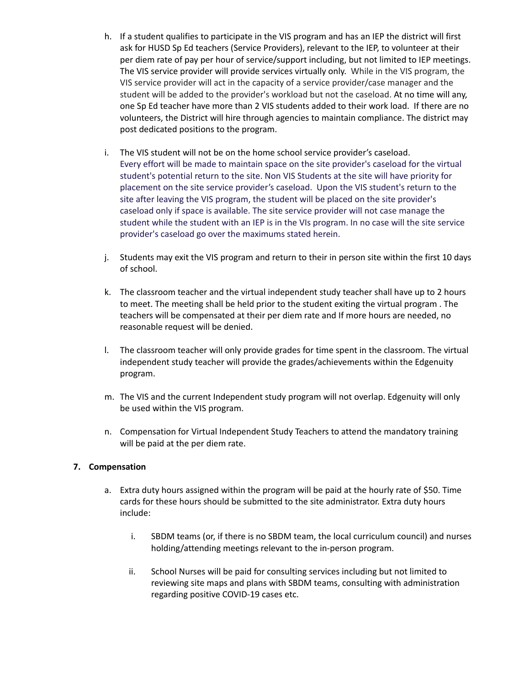- h. If a student qualifies to participate in the VIS program and has an IEP the district will first ask for HUSD Sp Ed teachers (Service Providers), relevant to the IEP, to volunteer at their per diem rate of pay per hour of service/support including, but not limited to IEP meetings. The VIS service provider will provide services virtually only. While in the VIS program, the VIS service provider will act in the capacity of a service provider/case manager and the student will be added to the provider's workload but not the caseload. At no time will any, one Sp Ed teacher have more than 2 VIS students added to their work load. If there are no volunteers, the District will hire through agencies to maintain compliance. The district may post dedicated positions to the program.
- i. The VIS student will not be on the home school service provider's caseload. Every effort will be made to maintain space on the site provider's caseload for the virtual student's potential return to the site. Non VIS Students at the site will have priority for placement on the site service provider's caseload. Upon the VIS student's return to the site after leaving the VIS program, the student will be placed on the site provider's caseload only if space is available. The site service provider will not case manage the student while the student with an IEP is in the VIs program. In no case will the site service provider's caseload go over the maximums stated herein.
- j. Students may exit the VIS program and return to their in person site within the first 10 days of school.
- k. The classroom teacher and the virtual independent study teacher shall have up to 2 hours to meet. The meeting shall be held prior to the student exiting the virtual program . The teachers will be compensated at their per diem rate and If more hours are needed, no reasonable request will be denied.
- l. The classroom teacher will only provide grades for time spent in the classroom. The virtual independent study teacher will provide the grades/achievements within the Edgenuity program.
- m. The VIS and the current Independent study program will not overlap. Edgenuity will only be used within the VIS program.
- n. Compensation for Virtual Independent Study Teachers to attend the mandatory training will be paid at the per diem rate.

## **7. Compensation**

- a. Extra duty hours assigned within the program will be paid at the hourly rate of \$50. Time cards for these hours should be submitted to the site administrator. Extra duty hours include:
	- i. SBDM teams (or, if there is no SBDM team, the local curriculum council) and nurses holding/attending meetings relevant to the in-person program.
	- ii. School Nurses will be paid for consulting services including but not limited to reviewing site maps and plans with SBDM teams, consulting with administration regarding positive COVID-19 cases etc.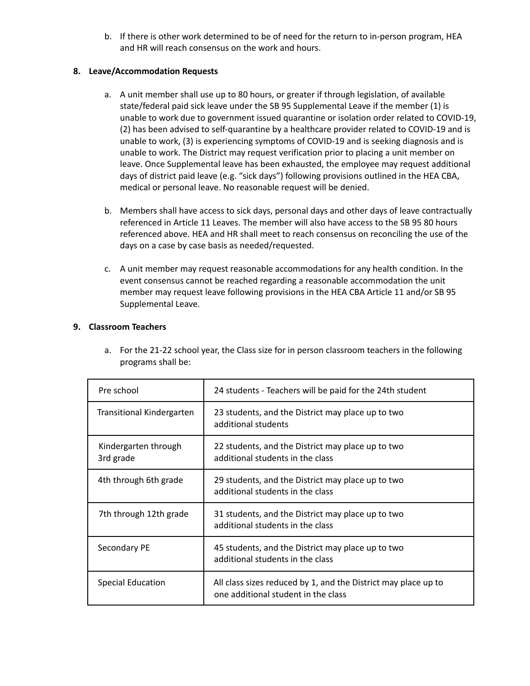b. If there is other work determined to be of need for the return to in-person program, HEA and HR will reach consensus on the work and hours.

## **8. Leave/Accommodation Requests**

- a. A unit member shall use up to 80 hours, or greater if through legislation, of available state/federal paid sick leave under the SB 95 Supplemental Leave if the member (1) is unable to work due to government issued quarantine or isolation order related to COVID-19, (2) has been advised to self-quarantine by a healthcare provider related to COVID-19 and is unable to work, (3) is experiencing symptoms of COVID-19 and is seeking diagnosis and is unable to work. The District may request verification prior to placing a unit member on leave. Once Supplemental leave has been exhausted, the employee may request additional days of district paid leave (e.g. "sick days") following provisions outlined in the HEA CBA, medical or personal leave. No reasonable request will be denied.
- b. Members shall have access to sick days, personal days and other days of leave contractually referenced in Article 11 Leaves. The member will also have access to the SB 95 80 hours referenced above. HEA and HR shall meet to reach consensus on reconciling the use of the days on a case by case basis as needed/requested.
- c. A unit member may request reasonable accommodations for any health condition. In the event consensus cannot be reached regarding a reasonable accommodation the unit member may request leave following provisions in the HEA CBA Article 11 and/or SB 95 Supplemental Leave.

## **9. Classroom Teachers**

a. For the 21-22 school year, the Class size for in person classroom teachers in the following programs shall be:

| Pre school                        | 24 students - Teachers will be paid for the 24th student                                              |
|-----------------------------------|-------------------------------------------------------------------------------------------------------|
| <b>Transitional Kindergarten</b>  | 23 students, and the District may place up to two<br>additional students                              |
| Kindergarten through<br>3rd grade | 22 students, and the District may place up to two<br>additional students in the class                 |
| 4th through 6th grade             | 29 students, and the District may place up to two<br>additional students in the class                 |
| 7th through 12th grade            | 31 students, and the District may place up to two<br>additional students in the class                 |
| Secondary PE                      | 45 students, and the District may place up to two<br>additional students in the class                 |
| Special Education                 | All class sizes reduced by 1, and the District may place up to<br>one additional student in the class |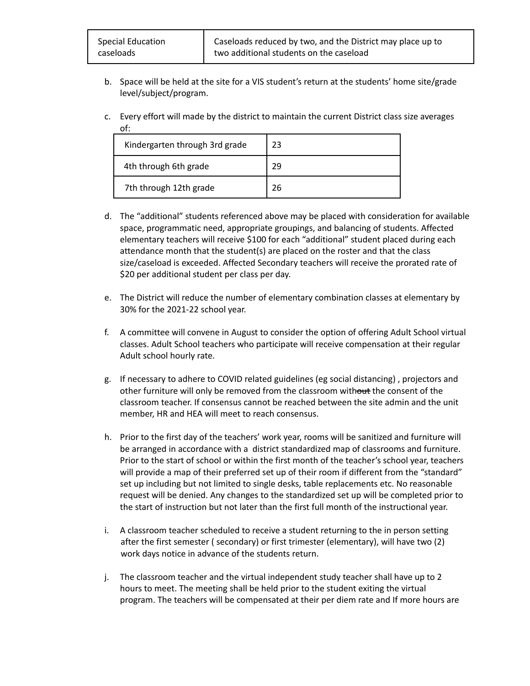- b. Space will be held at the site for a VIS student's return at the students' home site/grade level/subject/program.
- c. Every effort will made by the district to maintain the current District class size averages of:

| Kindergarten through 3rd grade | 23 |
|--------------------------------|----|
| 4th through 6th grade          | 29 |
| 7th through 12th grade         | 26 |

- d. The "additional" students referenced above may be placed with consideration for available space, programmatic need, appropriate groupings, and balancing of students. Affected elementary teachers will receive \$100 for each "additional" student placed during each attendance month that the student(s) are placed on the roster and that the class size/caseload is exceeded. Affected Secondary teachers will receive the prorated rate of \$20 per additional student per class per day.
- e. The District will reduce the number of elementary combination classes at elementary by 30% for the 2021-22 school year.
- f. A committee will convene in August to consider the option of offering Adult School virtual classes. Adult School teachers who participate will receive compensation at their regular Adult school hourly rate.
- g. If necessary to adhere to COVID related guidelines (eg social distancing) , projectors and other furniture will only be removed from the classroom without the consent of the classroom teacher. If consensus cannot be reached between the site admin and the unit member, HR and HEA will meet to reach consensus.
- h. Prior to the first day of the teachers' work year, rooms will be sanitized and furniture will be arranged in accordance with a district standardized map of classrooms and furniture. Prior to the start of school or within the first month of the teacher's school year, teachers will provide a map of their preferred set up of their room if different from the "standard" set up including but not limited to single desks, table replacements etc. No reasonable request will be denied. Any changes to the standardized set up will be completed prior to the start of instruction but not later than the first full month of the instructional year.
- i. A classroom teacher scheduled to receive a student returning to the in person setting after the first semester ( secondary) or first trimester (elementary), will have two (2) work days notice in advance of the students return.
- j. The classroom teacher and the virtual independent study teacher shall have up to 2 hours to meet. The meeting shall be held prior to the student exiting the virtual program. The teachers will be compensated at their per diem rate and If more hours are